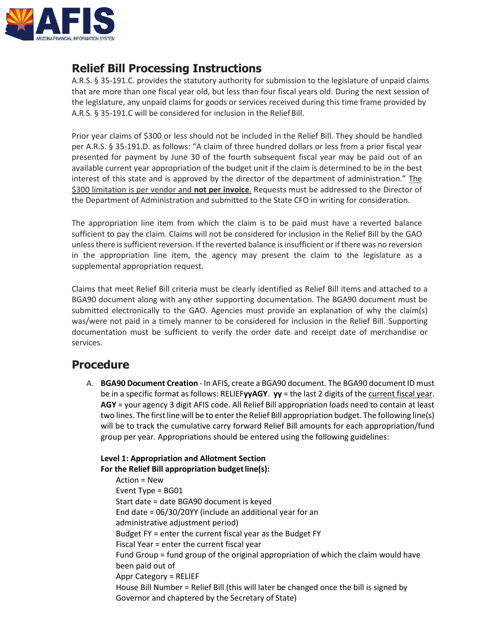

# **Relief Bill Processing Instructions**

A.R.S. § 35-191.C. provides the statutory authority for submission to the legislature of unpaid claims that are more than one fiscal year old, but less than four fiscal years old. During the next session of the legislature, any unpaid claims for goods or services received during this time frame provided by A.R.S. § 35-191.C will be considered for inclusion in the Relief Bill.

Prior year claims of \$300 or less should not be included in the Relief Bill. They should be handled per A.R.S. § 35-191.D. as follows: "A claim of three hundred dollars or less from a prior fiscal year presented for payment by June 30 of the fourth subsequent fiscal year may be paid out of an available current year appropriation of the budget unit if the claim is determined to be in the best interest of this state and is approved by the director of the department of administration." The \$300 limitation is per vendor and **not per invoice**. Requests must be addressed to the Director of the Department of Administration and submitted to the State CFO in writing for consideration.

The appropriation line item from which the claim is to be paid must have a reverted balance sufficient to pay the claim. Claims will not be considered for inclusion in the Relief Bill by the GAO unless there is sufficient reversion. If the reverted balance is insufficient or if there was no reversion in the appropriation line item, the agency may present the claim to the legislature as a supplemental appropriation request.

Claims that meet Relief Bill criteria must be clearly identified as Relief Bill items and attached to a BGA90 document along with any other supporting documentation. The BGA90 document must be submitted electronically to the GAO. Agencies must provide an explanation of why the claim(s) was/were not paid in a timely manner to be considered for inclusion in the Relief Bill. Supporting documentation must be sufficient to verify the order date and receipt date of merchandise or services.

# **Procedure**

A. **BGA90 Document Creation** - In AFIS, create a BGA90 document. The BGA90 document ID must be in a specific format as follows: RELIEF**yyAGY**. **yy** = the last 2 digits of the current fiscal year. **AGY** = your agency 3 digit AFIS code. All Relief Bill appropriation loads need to contain at least two lines. The first line will be to enter the Relief Bill appropriation budget. The following line(s) will be to track the cumulative carry forward Relief Bill amounts for each appropriation/fund group per year. Appropriations should be entered using the following guidelines:

**Level 1: Appropriation and Allotment Section**  For the Relief Bill appropriation budget line(s): Action = New Event Type = BG01 Start date = date BGA90 document is keyed End date = 06/30/20YY (include an additional year for an administrative adjustment period) Budget FY = enter the current fiscal year as the Budget FY Fiscal Year = enter the current fiscal year Fund Group = fund group of the original appropriation of which the claim would have been paid out of Appr Category = RELIEF House Bill Number = Relief Bill (this will later be changed once the bill is signed by Governor and chaptered by the Secretary of State)